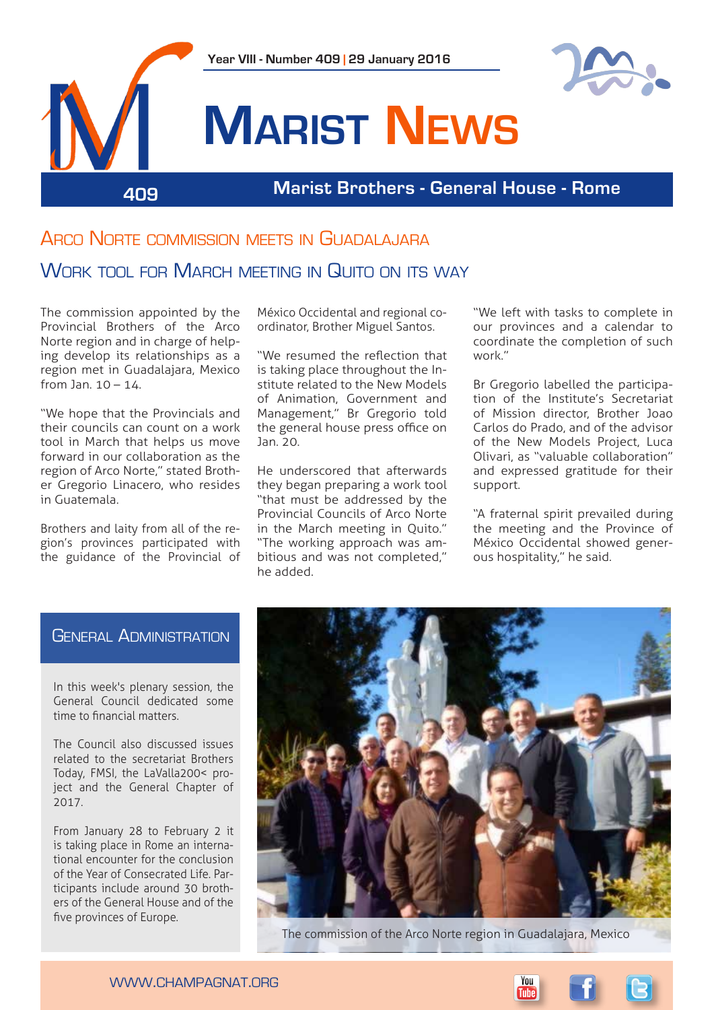

# Arco Norte commission meets in Guadalajara

## WORK TOOL FOR MARCH MEETING IN QUITO ON ITS WAY

The commission appointed by the Provincial Brothers of the Arco Norte region and in charge of helping develop its relationships as a region met in Guadalajara, Mexico from Jan.  $10 - 14$ .

"We hope that the Provincials and their councils can count on a work tool in March that helps us move forward in our collaboration as the region of Arco Norte," stated Brother Gregorio Linacero, who resides in Guatemala.

Brothers and laity from all of the region's provinces participated with the guidance of the Provincial of México Occidental and regional coordinator, Brother Miguel Santos.

"We resumed the reflection that is taking place throughout the Institute related to the New Models of Animation, Government and Management," Br Gregorio told the general house press office on Jan. 20.

He underscored that afterwards they began preparing a work tool "that must be addressed by the Provincial Councils of Arco Norte in the March meeting in Quito." "The working approach was ambitious and was not completed," he added.

"We left with tasks to complete in our provinces and a calendar to coordinate the completion of such work."

Br Gregorio labelled the participation of the Institute's Secretariat of Mission director, Brother Joao Carlos do Prado, and of the advisor of the New Models Project, Luca Olivari, as "valuable collaboration" and expressed gratitude for their support.

"A fraternal spirit prevailed during the meeting and the Province of México Occidental showed generous hospitality," he said.

## General Administration

In this week's plenary session, the General Council dedicated some time to financial matters.

The Council also discussed issues related to the secretariat Brothers Today, FMSI, the LaValla200< project and the General Chapter of 2017.

From January 28 to February 2 it is taking place in Rome an international encounter for the conclusion of the Year of Consecrated Life. Participants include around 30 brothers of the General House and of the five provinces of Europe.



The commission of the Arco Norte region in Guadalajara, Mexico

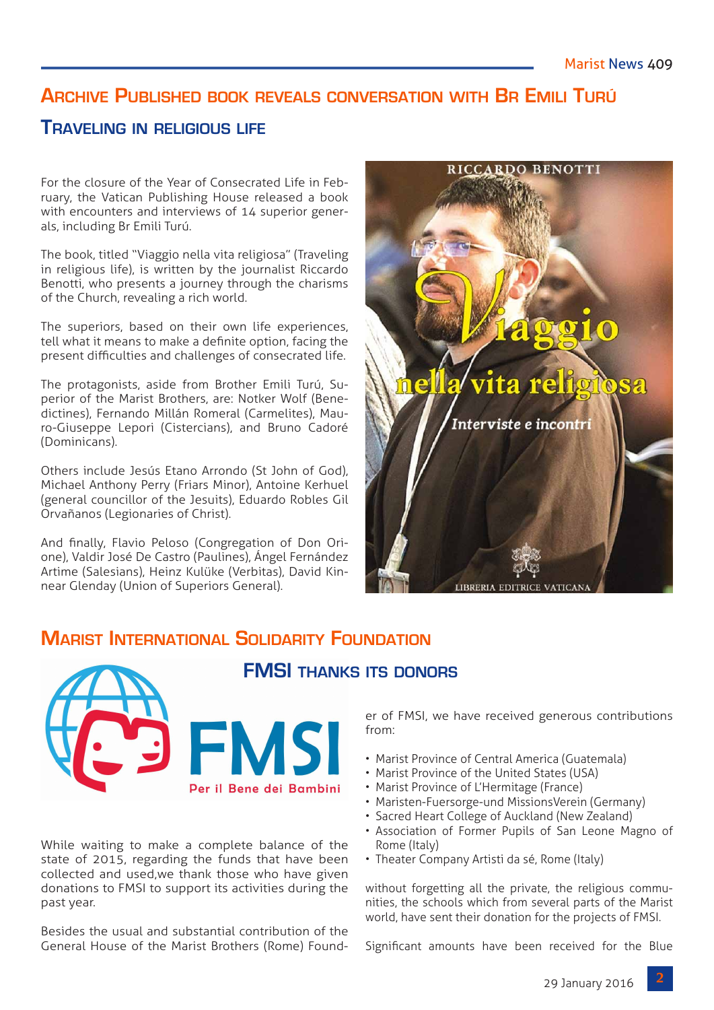# **Archive Published book reveals conversation with Br Emili Turú**

## **Traveling in religious life**

For the closure of the Year of Consecrated Life in February, the Vatican Publishing House released a book with encounters and interviews of 14 superior generals, including Br Emili Turú.

The book, titled "Viaggio nella vita religiosa" (Traveling in religious life), is written by the journalist Riccardo Benotti, who presents a journey through the charisms of the Church, revealing a rich world.

The superiors, based on their own life experiences, tell what it means to make a definite option, facing the present difficulties and challenges of consecrated life.

The protagonists, aside from Brother Emili Turú, Superior of the Marist Brothers, are: Notker Wolf (Benedictines), Fernando Millán Romeral (Carmelites), Mauro-Giuseppe Lepori (Cistercians), and Bruno Cadoré (Dominicans).

Others include Jesús Etano Arrondo (St John of God), Michael Anthony Perry (Friars Minor), Antoine Kerhuel (general councillor of the Jesuits), Eduardo Robles Gil Orvañanos (Legionaries of Christ).

And finally, Flavio Peloso (Congregation of Don Orione), Valdir José De Castro (Paulines), Ángel Fernández Artime (Salesians), Heinz Kulüke (Verbitas), David Kinnear Glenday (Union of Superiors General).



# **Marist International Solidarity Foundation**



While waiting to make a complete balance of the state of 2015, regarding the funds that have been collected and used,we thank those who have given donations to FMSI to support its activities during the past year.

Besides the usual and substantial contribution of the General House of the Marist Brothers (Rome) Founder of FMSI, we have received generous contributions from:

- Marist Province of Central America (Guatemala)
- Marist Province of the United States (USA)
- Marist Province of L'Hermitage (France)
- Maristen-Fuersorge-und MissionsVerein (Germany)
- Sacred Heart College of Auckland (New Zealand)
- Association of Former Pupils of San Leone Magno of Rome (Italy)
- Theater Company Artisti da sé, Rome (Italy)

without forgetting all the private, the religious communities, the schools which from several parts of the Marist world, have sent their donation for the projects of FMSI.

Significant amounts have been received for the Blue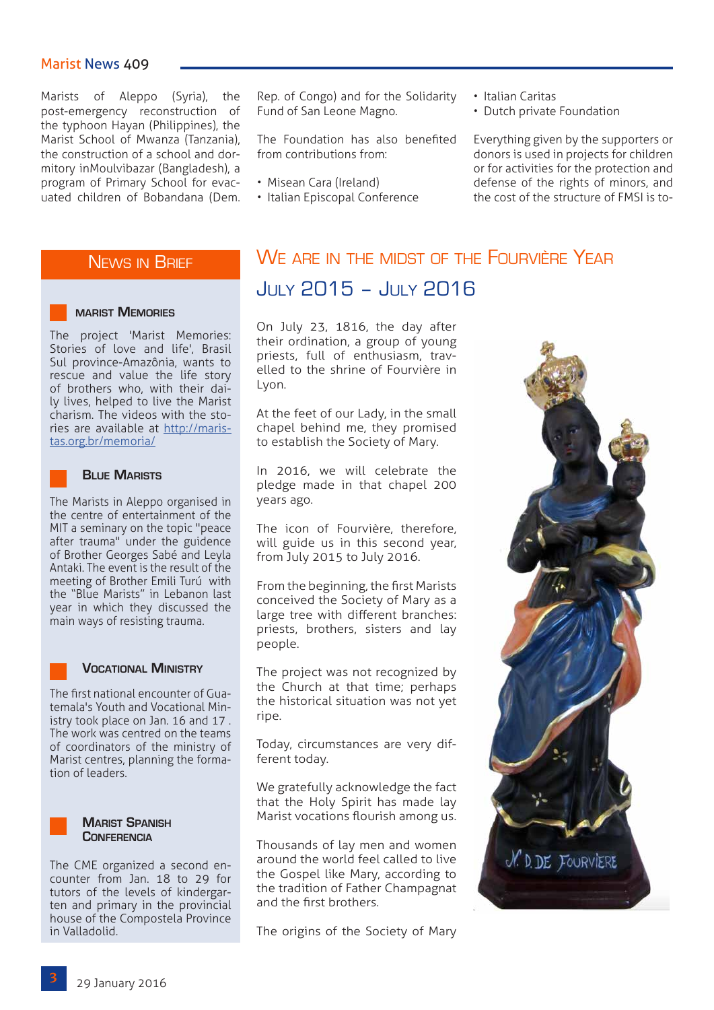## Marist News 409

Marists of Aleppo (Syria), the post-emergency reconstruction of the typhoon Hayan (Philippines), the Marist School of Mwanza (Tanzania), the construction of a school and dormitory inMoulvibazar (Bangladesh), a program of Primary School for evacuated children of Bobandana (Dem. Rep. of Congo) and for the Solidarity Fund of San Leone Magno.

The Foundation has also benefited from contributions from:

- Misean Cara (Ireland)
- Italian Episcopal Conference
- Italian Caritas
- Dutch private Foundation

Everything given by the supporters or donors is used in projects for children or for activities for the protection and defense of the rights of minors, and the cost of the structure of FMSI is to-

## News in Brief

### **marist Memories**

The project 'Marist Memories: Stories of love and life', Brasil Sul province-Amazônia, wants to rescue and value the life story of brothers who, with their daily lives, helped to live the Marist charism. The videos with the stories are available at [http://maris](http://maristas.org.br/memoria/)[tas.org.br/memoria/](http://maristas.org.br/memoria/)



### **Blue Marists**

The Marists in Aleppo organised in the centre of entertainment of the MIT a seminary on the topic "peace after trauma" under the guidence of Brother Georges Sabé and Leyla Antaki. The event is the result of the meeting of Brother Emili Turú with the "Blue Marists" in Lebanon last year in which they discussed the main ways of resisting trauma.

#### **Vocational Ministry**

The first national encounter of Guatemala's Youth and Vocational Ministry took place on Jan. 16 and 17 . The work was centred on the teams of coordinators of the ministry of Marist centres, planning the formation of leaders.



The CME organized a second encounter from Jan. 18 to 29 for tutors of the levels of kindergarten and primary in the provincial house of the Compostela Province in Valladolid.

# We are in the midst of the Fourvière Year July 2015 – July 2016

On July 23, 1816, the day after their ordination, a group of young priests, full of enthusiasm, travelled to the shrine of Fourvière in Lyon.

At the feet of our Lady, in the small chapel behind me, they promised to establish the Society of Mary.

In 2016, we will celebrate the pledge made in that chapel 200 years ago.

The icon of Fourvière, therefore, will guide us in this second year, from July 2015 to July 2016.

From the beginning, the first Marists conceived the Society of Mary as a large tree with different branches: priests, brothers, sisters and lay people.

The project was not recognized by the Church at that time; perhaps the historical situation was not yet ripe.

Today, circumstances are very different today.

We gratefully acknowledge the fact that the Holy Spirit has made lay Marist vocations flourish among us.

Thousands of lay men and women around the world feel called to live the Gospel like Mary, according to the tradition of Father Champagnat and the first brothers.

The origins of the Society of Mary

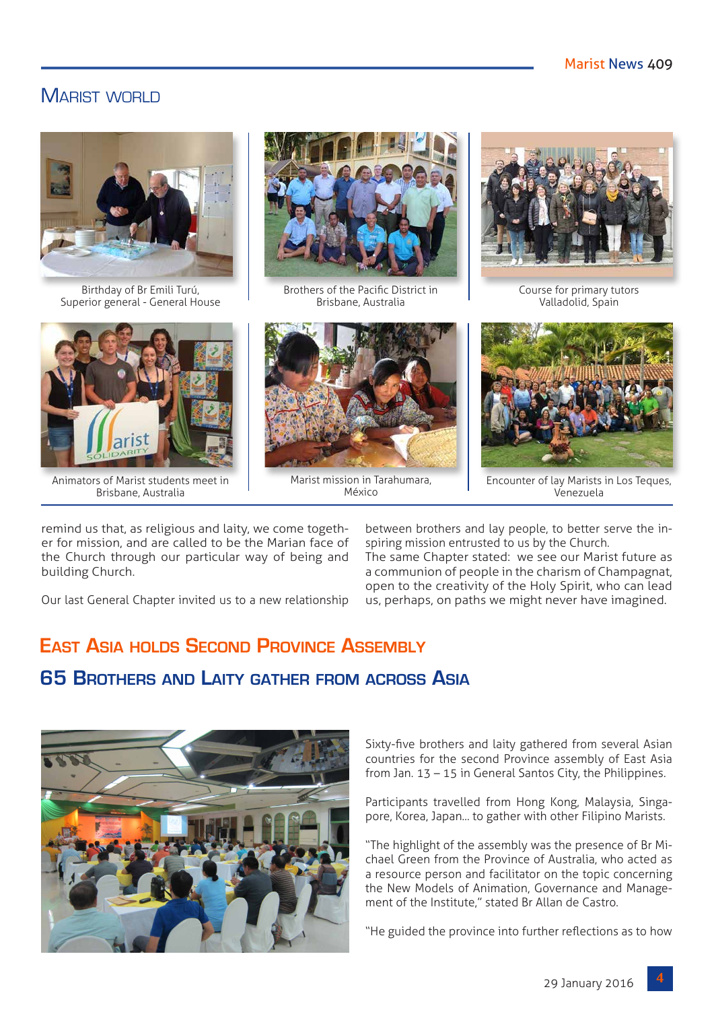## MARIST WORLD



Birthday of Br Emili Turú, Superior general - General House



Animators of Marist students meet in Brisbane, Australia



Brothers of the Pacific District in Brisbane, Australia



Marist mission in Tarahumara, México



Course for primary tutors Valladolid, Spain



Encounter of lay Marists in Los Teques, Venezuela

remind us that, as religious and laity, we come together for mission, and are called to be the Marian face of the Church through our particular way of being and building Church.

Our last General Chapter invited us to a new relationship

between brothers and lay people, to better serve the inspiring mission entrusted to us by the Church. The same Chapter stated: we see our Marist future as a communion of people in the charism of Champagnat, open to the creativity of the Holy Spirit, who can lead us, perhaps, on paths we might never have imagined.

# **East Asia holds Second Province Assembly 65 Brothers and Laity gather from across Asia**



Sixty-five brothers and laity gathered from several Asian countries for the second Province assembly of East Asia from Jan. 13 – 15 in General Santos City, the Philippines.

Participants travelled from Hong Kong, Malaysia, Singapore, Korea, Japan... to gather with other Filipino Marists.

"The highlight of the assembly was the presence of Br Michael Green from the Province of Australia, who acted as a resource person and facilitator on the topic concerning the New Models of Animation, Governance and Management of the Institute," stated Br Allan de Castro.

"He guided the province into further reflections as to how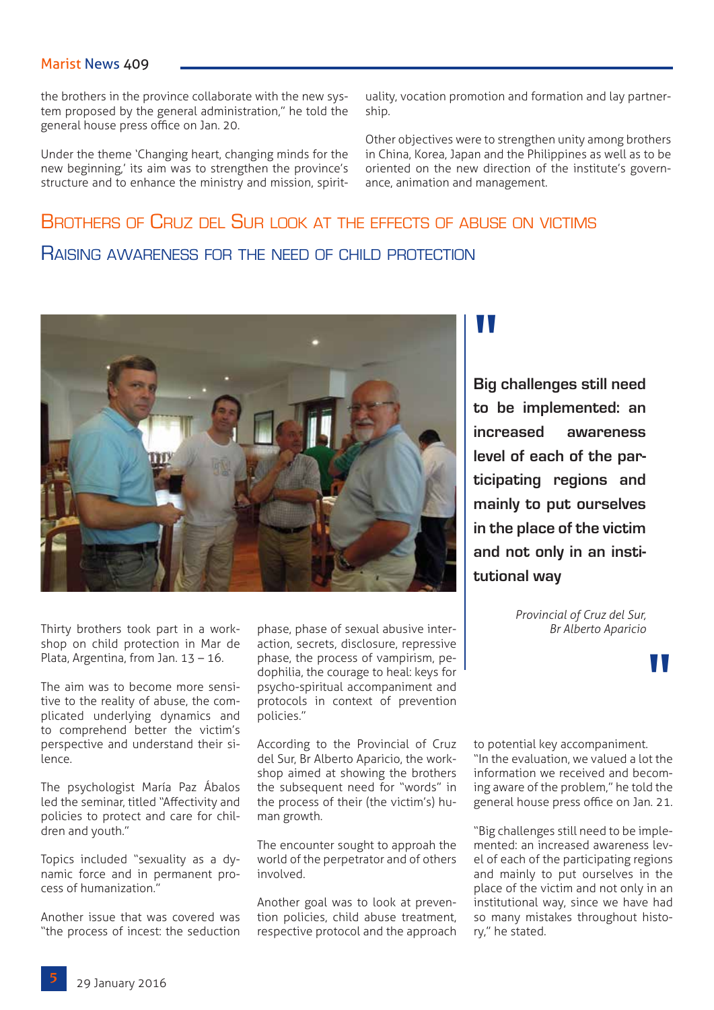## Marist News 409

the brothers in the province collaborate with the new system proposed by the general administration," he told the general house press office on Jan. 20.

Under the theme 'Changing heart, changing minds for the new beginning,' its aim was to strengthen the province's structure and to enhance the ministry and mission, spirituality, vocation promotion and formation and lay partnership.

Other objectives were to strengthen unity among brothers in China, Korea, Japan and the Philippines as well as to be oriented on the new direction of the institute's governance, animation and management.

# Brothers of Cruz del Sur look at the effects of abuse on victims Raising awareness for the need of child protection



Thirty brothers took part in a workshop on child protection in Mar de Plata, Argentina, from Jan. 13 – 16.

The aim was to become more sensitive to the reality of abuse, the complicated underlying dynamics and to comprehend better the victim's perspective and understand their silence.

The psychologist María Paz Ábalos led the seminar, titled "Affectivity and policies to protect and care for children and youth."

Topics included "sexuality as a dynamic force and in permanent process of humanization."

Another issue that was covered was "the process of incest: the seduction phase, phase of sexual abusive interaction, secrets, disclosure, repressive phase, the process of vampirism, pedophilia, the courage to heal: keys for psycho-spiritual accompaniment and protocols in context of prevention policies."

According to the Provincial of Cruz del Sur, Br Alberto Aparicio, the workshop aimed at showing the brothers the subsequent need for "words" in the process of their (the victim's) human growth.

The encounter sought to approah the world of the perpetrator and of others involved.

Another goal was to look at prevention policies, child abuse treatment, respective protocol and the approach

# "<br>"<br>"

**Big challenges still need to be implemented: an increased awareness level of each of the participating regions and mainly to put ourselves in the place of the victim and not only in an institutional way**

> *Provincial of Cruz del Sur, Br Alberto Aparicio*

> > "

to potential key accompaniment. "In the evaluation, we valued a lot the information we received and becoming aware of the problem," he told the general house press office on Jan. 21.

"Big challenges still need to be implemented: an increased awareness level of each of the participating regions and mainly to put ourselves in the place of the victim and not only in an institutional way, since we have had so many mistakes throughout history," he stated.